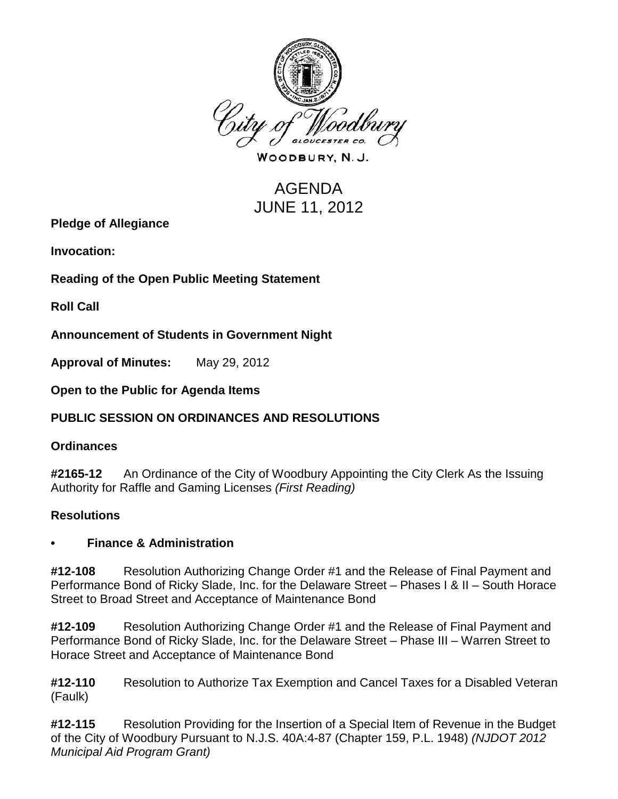

WOODBURY, N.J.

# AGENDA JUNE 11, 2012

**Pledge of Allegiance**

**Invocation:** 

**Reading of the Open Public Meeting Statement**

**Roll Call**

**Announcement of Students in Government Night**

**Approval of Minutes:** May 29, 2012

**Open to the Public for Agenda Items**

## **PUBLIC SESSION ON ORDINANCES AND RESOLUTIONS**

#### **Ordinances**

**#2165-12** An Ordinance of the City of Woodbury Appointing the City Clerk As the Issuing Authority for Raffle and Gaming Licenses *(First Reading)*

## **Resolutions**

#### **• Finance & Administration**

**#12-108** Resolution Authorizing Change Order #1 and the Release of Final Payment and Performance Bond of Ricky Slade, Inc. for the Delaware Street – Phases I & II – South Horace Street to Broad Street and Acceptance of Maintenance Bond

**#12-109** Resolution Authorizing Change Order #1 and the Release of Final Payment and Performance Bond of Ricky Slade, Inc. for the Delaware Street – Phase III – Warren Street to Horace Street and Acceptance of Maintenance Bond

**#12-110** Resolution to Authorize Tax Exemption and Cancel Taxes for a Disabled Veteran (Faulk)

**#12-115** Resolution Providing for the Insertion of a Special Item of Revenue in the Budget of the City of Woodbury Pursuant to N.J.S. 40A:4-87 (Chapter 159, P.L. 1948) *(NJDOT 2012 Municipal Aid Program Grant)*